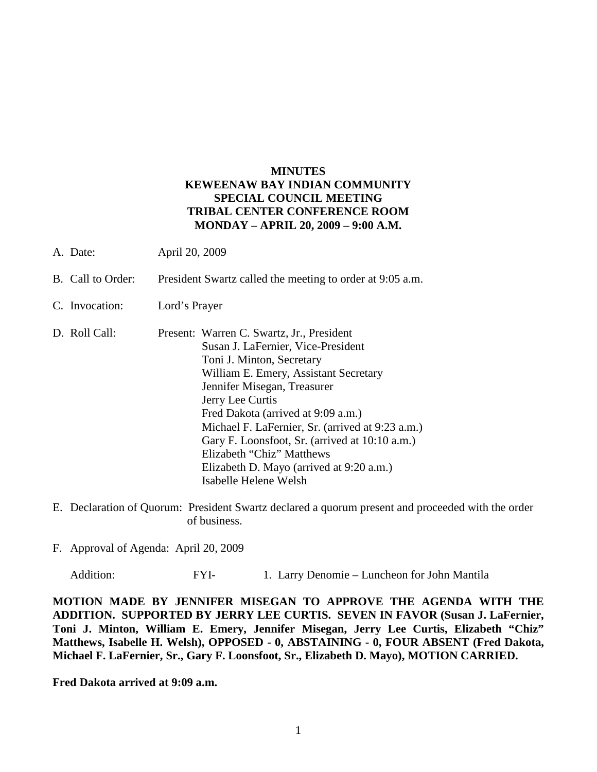## **MINUTES KEWEENAW BAY INDIAN COMMUNITY SPECIAL COUNCIL MEETING TRIBAL CENTER CONFERENCE ROOM MONDAY – APRIL 20, 2009 – 9:00 A.M.**

- A. Date: April 20, 2009
- B. Call to Order: President Swartz called the meeting to order at 9:05 a.m.
- C. Invocation: Lord's Prayer
- D. Roll Call: Present: Warren C. Swartz, Jr., President Susan J. LaFernier, Vice-President Toni J. Minton, Secretary William E. Emery, Assistant Secretary Jennifer Misegan, Treasurer Jerry Lee Curtis Fred Dakota (arrived at 9:09 a.m.) Michael F. LaFernier, Sr. (arrived at 9:23 a.m.) Gary F. Loonsfoot, Sr. (arrived at 10:10 a.m.) Elizabeth "Chiz" Matthews Elizabeth D. Mayo (arrived at 9:20 a.m.) Isabelle Helene Welsh
- E. Declaration of Quorum: President Swartz declared a quorum present and proceeded with the order of business.
- F. Approval of Agenda: April 20, 2009

Addition: FYI- 1. Larry Denomie – Luncheon for John Mantila

**MOTION MADE BY JENNIFER MISEGAN TO APPROVE THE AGENDA WITH THE ADDITION. SUPPORTED BY JERRY LEE CURTIS. SEVEN IN FAVOR (Susan J. LaFernier, Toni J. Minton, William E. Emery, Jennifer Misegan, Jerry Lee Curtis, Elizabeth "Chiz" Matthews, Isabelle H. Welsh), OPPOSED - 0, ABSTAINING - 0, FOUR ABSENT (Fred Dakota, Michael F. LaFernier, Sr., Gary F. Loonsfoot, Sr., Elizabeth D. Mayo), MOTION CARRIED.**

**Fred Dakota arrived at 9:09 a.m.**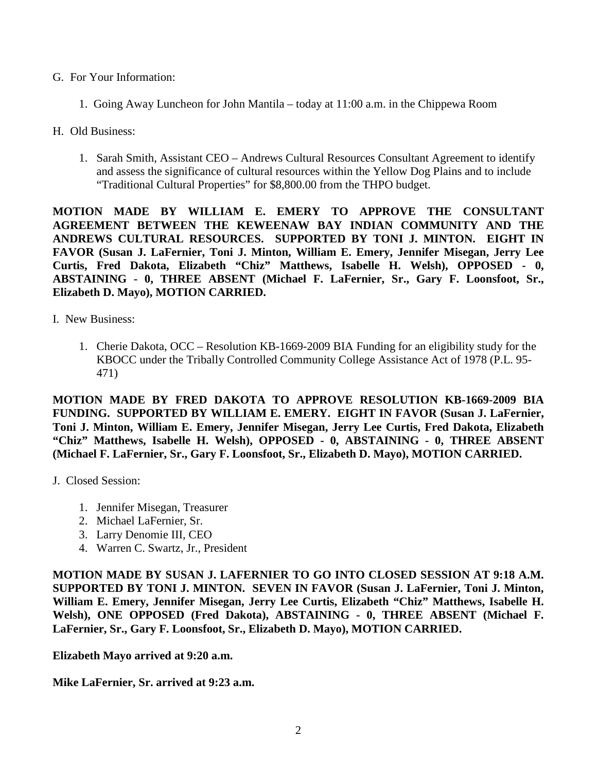- G. For Your Information:
	- 1. Going Away Luncheon for John Mantila today at 11:00 a.m. in the Chippewa Room
- H. Old Business:
	- 1. Sarah Smith, Assistant CEO Andrews Cultural Resources Consultant Agreement to identify and assess the significance of cultural resources within the Yellow Dog Plains and to include "Traditional Cultural Properties" for \$8,800.00 from the THPO budget.

**MOTION MADE BY WILLIAM E. EMERY TO APPROVE THE CONSULTANT AGREEMENT BETWEEN THE KEWEENAW BAY INDIAN COMMUNITY AND THE ANDREWS CULTURAL RESOURCES. SUPPORTED BY TONI J. MINTON. EIGHT IN FAVOR (Susan J. LaFernier, Toni J. Minton, William E. Emery, Jennifer Misegan, Jerry Lee Curtis, Fred Dakota, Elizabeth "Chiz" Matthews, Isabelle H. Welsh), OPPOSED - 0, ABSTAINING - 0, THREE ABSENT (Michael F. LaFernier, Sr., Gary F. Loonsfoot, Sr., Elizabeth D. Mayo), MOTION CARRIED.**

I. New Business:

1. Cherie Dakota, OCC – Resolution KB-1669-2009 BIA Funding for an eligibility study for the KBOCC under the Tribally Controlled Community College Assistance Act of 1978 (P.L. 95- 471)

**MOTION MADE BY FRED DAKOTA TO APPROVE RESOLUTION KB-1669-2009 BIA FUNDING. SUPPORTED BY WILLIAM E. EMERY. EIGHT IN FAVOR (Susan J. LaFernier, Toni J. Minton, William E. Emery, Jennifer Misegan, Jerry Lee Curtis, Fred Dakota, Elizabeth "Chiz" Matthews, Isabelle H. Welsh), OPPOSED - 0, ABSTAINING - 0, THREE ABSENT (Michael F. LaFernier, Sr., Gary F. Loonsfoot, Sr., Elizabeth D. Mayo), MOTION CARRIED.**

- J. Closed Session:
	- 1. Jennifer Misegan, Treasurer
	- 2. Michael LaFernier, Sr.
	- 3. Larry Denomie III, CEO
	- 4. Warren C. Swartz, Jr., President

**MOTION MADE BY SUSAN J. LAFERNIER TO GO INTO CLOSED SESSION AT 9:18 A.M. SUPPORTED BY TONI J. MINTON. SEVEN IN FAVOR (Susan J. LaFernier, Toni J. Minton, William E. Emery, Jennifer Misegan, Jerry Lee Curtis, Elizabeth "Chiz" Matthews, Isabelle H. Welsh), ONE OPPOSED (Fred Dakota), ABSTAINING - 0, THREE ABSENT (Michael F. LaFernier, Sr., Gary F. Loonsfoot, Sr., Elizabeth D. Mayo), MOTION CARRIED.**

**Elizabeth Mayo arrived at 9:20 a.m.**

**Mike LaFernier, Sr. arrived at 9:23 a.m.**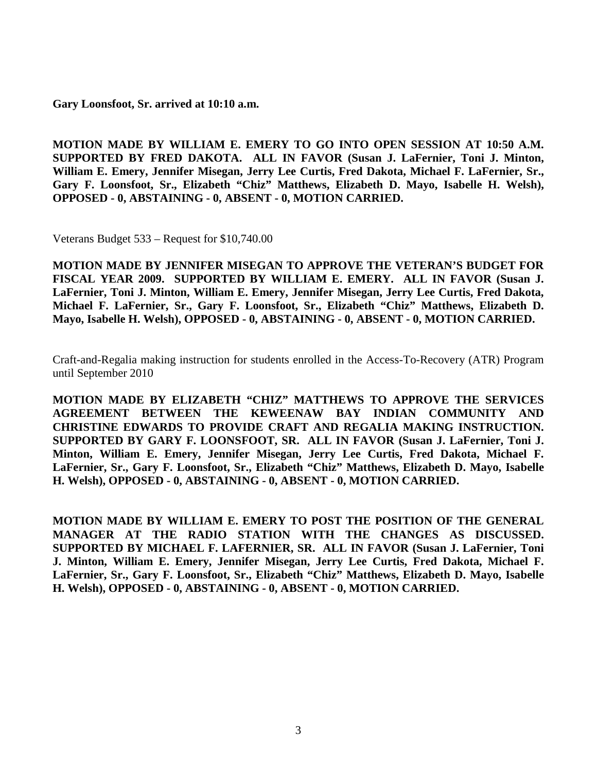**Gary Loonsfoot, Sr. arrived at 10:10 a.m.**

**MOTION MADE BY WILLIAM E. EMERY TO GO INTO OPEN SESSION AT 10:50 A.M. SUPPORTED BY FRED DAKOTA. ALL IN FAVOR (Susan J. LaFernier, Toni J. Minton, William E. Emery, Jennifer Misegan, Jerry Lee Curtis, Fred Dakota, Michael F. LaFernier, Sr., Gary F. Loonsfoot, Sr., Elizabeth "Chiz" Matthews, Elizabeth D. Mayo, Isabelle H. Welsh), OPPOSED - 0, ABSTAINING - 0, ABSENT - 0, MOTION CARRIED.**

Veterans Budget 533 – Request for \$10,740.00

**MOTION MADE BY JENNIFER MISEGAN TO APPROVE THE VETERAN'S BUDGET FOR FISCAL YEAR 2009. SUPPORTED BY WILLIAM E. EMERY. ALL IN FAVOR (Susan J. LaFernier, Toni J. Minton, William E. Emery, Jennifer Misegan, Jerry Lee Curtis, Fred Dakota, Michael F. LaFernier, Sr., Gary F. Loonsfoot, Sr., Elizabeth "Chiz" Matthews, Elizabeth D. Mayo, Isabelle H. Welsh), OPPOSED - 0, ABSTAINING - 0, ABSENT - 0, MOTION CARRIED.**

Craft-and-Regalia making instruction for students enrolled in the Access-To-Recovery (ATR) Program until September 2010

**MOTION MADE BY ELIZABETH "CHIZ" MATTHEWS TO APPROVE THE SERVICES AGREEMENT BETWEEN THE KEWEENAW BAY INDIAN COMMUNITY AND CHRISTINE EDWARDS TO PROVIDE CRAFT AND REGALIA MAKING INSTRUCTION. SUPPORTED BY GARY F. LOONSFOOT, SR. ALL IN FAVOR (Susan J. LaFernier, Toni J. Minton, William E. Emery, Jennifer Misegan, Jerry Lee Curtis, Fred Dakota, Michael F. LaFernier, Sr., Gary F. Loonsfoot, Sr., Elizabeth "Chiz" Matthews, Elizabeth D. Mayo, Isabelle H. Welsh), OPPOSED - 0, ABSTAINING - 0, ABSENT - 0, MOTION CARRIED.**

**MOTION MADE BY WILLIAM E. EMERY TO POST THE POSITION OF THE GENERAL MANAGER AT THE RADIO STATION WITH THE CHANGES AS DISCUSSED. SUPPORTED BY MICHAEL F. LAFERNIER, SR. ALL IN FAVOR (Susan J. LaFernier, Toni J. Minton, William E. Emery, Jennifer Misegan, Jerry Lee Curtis, Fred Dakota, Michael F. LaFernier, Sr., Gary F. Loonsfoot, Sr., Elizabeth "Chiz" Matthews, Elizabeth D. Mayo, Isabelle H. Welsh), OPPOSED - 0, ABSTAINING - 0, ABSENT - 0, MOTION CARRIED.**